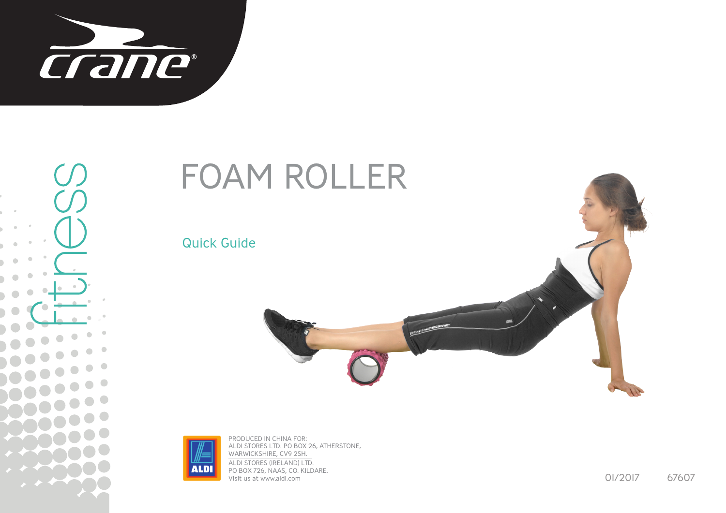

## FOAM ROLLER

Quick Guide





PRODUCED IN CHINA FOR: ALDI STORES LTD. PO BOX 26, ATHERSTONE, WARWICKSHIRE, CV9 2SH. ALDI STORES (IRELAND) LTD. PO BOX 726, NAAS, CO. KILDARE. Visit us at www.aldi.com

01/2017 67607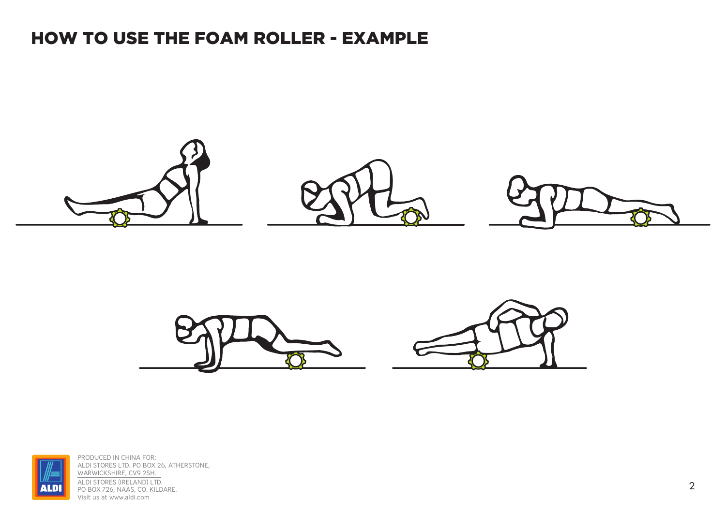## HOW TO USE THE FOAM ROLLER - EXAMPLE







PRODUCED IN CHINA FOR: ALDI STORES LTD. PO BOX 26, ATHERSTONE, WARWICKSHIRE, CV9 2SH. ALDI STORES (IRELAND) LTD. PO BOX 726, NAAS, CO. KILDARE. Visit us at www.aldi.com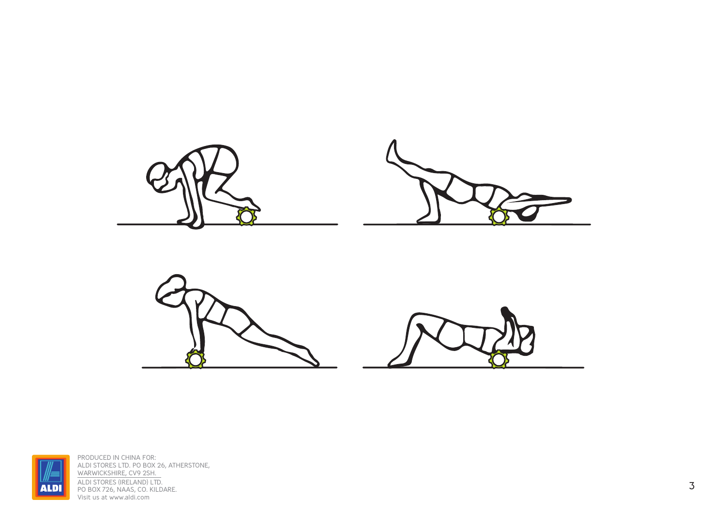





PRODUCED IN CHINA FOR: ALDI STORES LTD. PO BOX 26, ATHERSTONE, WARWICKSHIRE, CV9 2SH. ALDI STORES (IRELAND) LTD. PO BOX 726, NAAS, CO. KILDARE. Visit us at www.aldi.com